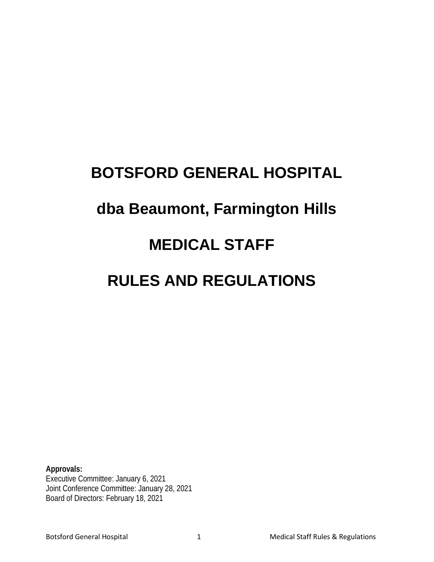## **BOTSFORD GENERAL HOSPITAL dba Beaumont, Farmington Hills MEDICAL STAFF RULES AND REGULATIONS**

**Approvals:** Executive Committee: January 6, 2021 Joint Conference Committee: January 28, 2021 Board of Directors: February 18, 2021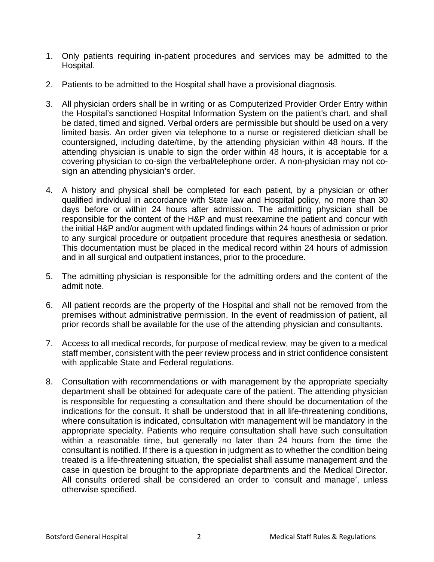- 1. Only patients requiring in-patient procedures and services may be admitted to the Hospital.
- 2. Patients to be admitted to the Hospital shall have a provisional diagnosis.
- 3. All physician orders shall be in writing or as Computerized Provider Order Entry within the Hospital's sanctioned Hospital Information System on the patient's chart, and shall be dated, timed and signed. Verbal orders are permissible but should be used on a very limited basis. An order given via telephone to a nurse or registered dietician shall be countersigned, including date/time, by the attending physician within 48 hours. If the attending physician is unable to sign the order within 48 hours, it is acceptable for a covering physician to co-sign the verbal/telephone order. A non-physician may not cosign an attending physician's order.
- 4. A history and physical shall be completed for each patient, by a physician or other qualified individual in accordance with State law and Hospital policy, no more than 30 days before or within 24 hours after admission. The admitting physician shall be responsible for the content of the H&P and must reexamine the patient and concur with the initial H&P and/or augment with updated findings within 24 hours of admission or prior to any surgical procedure or outpatient procedure that requires anesthesia or sedation. This documentation must be placed in the medical record within 24 hours of admission and in all surgical and outpatient instances, prior to the procedure.
- 5. The admitting physician is responsible for the admitting orders and the content of the admit note.
- 6. All patient records are the property of the Hospital and shall not be removed from the premises without administrative permission. In the event of readmission of patient, all prior records shall be available for the use of the attending physician and consultants.
- 7. Access to all medical records, for purpose of medical review, may be given to a medical staff member, consistent with the peer review process and in strict confidence consistent with applicable State and Federal regulations.
- 8. Consultation with recommendations or with management by the appropriate specialty department shall be obtained for adequate care of the patient. The attending physician is responsible for requesting a consultation and there should be documentation of the indications for the consult. It shall be understood that in all life-threatening conditions, where consultation is indicated, consultation with management will be mandatory in the appropriate specialty. Patients who require consultation shall have such consultation within a reasonable time, but generally no later than 24 hours from the time the consultant is notified. If there is a question in judgment as to whether the condition being treated is a life-threatening situation, the specialist shall assume management and the case in question be brought to the appropriate departments and the Medical Director. All consults ordered shall be considered an order to 'consult and manage', unless otherwise specified.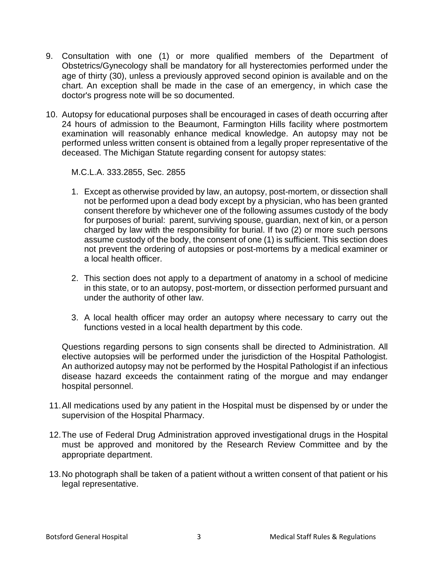- 9. Consultation with one (1) or more qualified members of the Department of Obstetrics/Gynecology shall be mandatory for all hysterectomies performed under the age of thirty (30), unless a previously approved second opinion is available and on the chart. An exception shall be made in the case of an emergency, in which case the doctor's progress note will be so documented.
- 10. Autopsy for educational purposes shall be encouraged in cases of death occurring after 24 hours of admission to the Beaumont, Farmington Hills facility where postmortem examination will reasonably enhance medical knowledge. An autopsy may not be performed unless written consent is obtained from a legally proper representative of the deceased. The Michigan Statute regarding consent for autopsy states:

M.C.L.A. 333.2855, Sec. 2855

- 1. Except as otherwise provided by law, an autopsy, post-mortem, or dissection shall not be performed upon a dead body except by a physician, who has been granted consent therefore by whichever one of the following assumes custody of the body for purposes of burial: parent, surviving spouse, guardian, next of kin, or a person charged by law with the responsibility for burial. If two (2) or more such persons assume custody of the body, the consent of one (1) is sufficient. This section does not prevent the ordering of autopsies or post-mortems by a medical examiner or a local health officer.
- 2. This section does not apply to a department of anatomy in a school of medicine in this state, or to an autopsy, post-mortem, or dissection performed pursuant and under the authority of other law.
- 3. A local health officer may order an autopsy where necessary to carry out the functions vested in a local health department by this code.

Questions regarding persons to sign consents shall be directed to Administration. All elective autopsies will be performed under the jurisdiction of the Hospital Pathologist. An authorized autopsy may not be performed by the Hospital Pathologist if an infectious disease hazard exceeds the containment rating of the morgue and may endanger hospital personnel.

- 11.All medications used by any patient in the Hospital must be dispensed by or under the supervision of the Hospital Pharmacy.
- 12.The use of Federal Drug Administration approved investigational drugs in the Hospital must be approved and monitored by the Research Review Committee and by the appropriate department.
- 13.No photograph shall be taken of a patient without a written consent of that patient or his legal representative.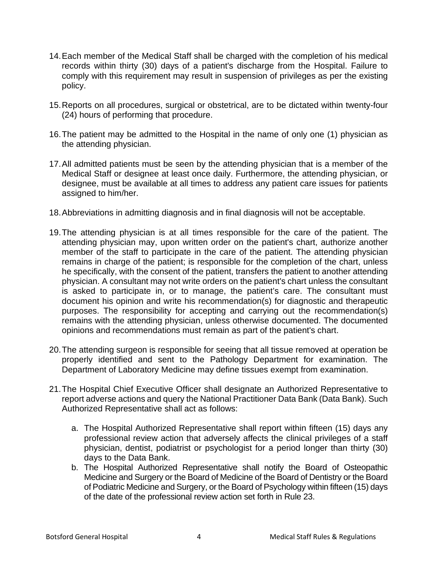- 14.Each member of the Medical Staff shall be charged with the completion of his medical records within thirty (30) days of a patient's discharge from the Hospital. Failure to comply with this requirement may result in suspension of privileges as per the existing policy.
- 15.Reports on all procedures, surgical or obstetrical, are to be dictated within twenty-four (24) hours of performing that procedure.
- 16.The patient may be admitted to the Hospital in the name of only one (1) physician as the attending physician.
- 17.All admitted patients must be seen by the attending physician that is a member of the Medical Staff or designee at least once daily. Furthermore, the attending physician, or designee, must be available at all times to address any patient care issues for patients assigned to him/her.
- 18.Abbreviations in admitting diagnosis and in final diagnosis will not be acceptable.
- 19.The attending physician is at all times responsible for the care of the patient. The attending physician may, upon written order on the patient's chart, authorize another member of the staff to participate in the care of the patient. The attending physician remains in charge of the patient; is responsible for the completion of the chart, unless he specifically, with the consent of the patient, transfers the patient to another attending physician. A consultant may not write orders on the patient's chart unless the consultant is asked to participate in, or to manage, the patient's care. The consultant must document his opinion and write his recommendation(s) for diagnostic and therapeutic purposes. The responsibility for accepting and carrying out the recommendation(s) remains with the attending physician, unless otherwise documented. The documented opinions and recommendations must remain as part of the patient's chart.
- 20.The attending surgeon is responsible for seeing that all tissue removed at operation be properly identified and sent to the Pathology Department for examination. The Department of Laboratory Medicine may define tissues exempt from examination.
- 21.The Hospital Chief Executive Officer shall designate an Authorized Representative to report adverse actions and query the National Practitioner Data Bank (Data Bank). Such Authorized Representative shall act as follows:
	- a. The Hospital Authorized Representative shall report within fifteen (15) days any professional review action that adversely affects the clinical privileges of a staff physician, dentist, podiatrist or psychologist for a period longer than thirty (30) days to the Data Bank.
	- b. The Hospital Authorized Representative shall notify the Board of Osteopathic Medicine and Surgery or the Board of Medicine of the Board of Dentistry or the Board of Podiatric Medicine and Surgery, or the Board of Psychology within fifteen (15) days of the date of the professional review action set forth in Rule 23.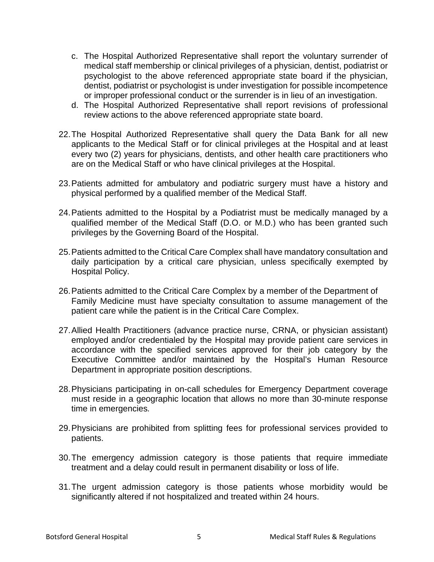- c. The Hospital Authorized Representative shall report the voluntary surrender of medical staff membership or clinical privileges of a physician, dentist, podiatrist or psychologist to the above referenced appropriate state board if the physician, dentist, podiatrist or psychologist is under investigation for possible incompetence or improper professional conduct or the surrender is in lieu of an investigation.
- d. The Hospital Authorized Representative shall report revisions of professional review actions to the above referenced appropriate state board.
- 22.The Hospital Authorized Representative shall query the Data Bank for all new applicants to the Medical Staff or for clinical privileges at the Hospital and at least every two (2) years for physicians, dentists, and other health care practitioners who are on the Medical Staff or who have clinical privileges at the Hospital.
- 23.Patients admitted for ambulatory and podiatric surgery must have a history and physical performed by a qualified member of the Medical Staff.
- 24.Patients admitted to the Hospital by a Podiatrist must be medically managed by a qualified member of the Medical Staff (D.O. or M.D.) who has been granted such privileges by the Governing Board of the Hospital.
- 25.Patients admitted to the Critical Care Complex shall have mandatory consultation and daily participation by a critical care physician, unless specifically exempted by Hospital Policy.
- 26.Patients admitted to the Critical Care Complex by a member of the Department of Family Medicine must have specialty consultation to assume management of the patient care while the patient is in the Critical Care Complex.
- 27.Allied Health Practitioners (advance practice nurse, CRNA, or physician assistant) employed and/or credentialed by the Hospital may provide patient care services in accordance with the specified services approved for their job category by the Executive Committee and/or maintained by the Hospital's Human Resource Department in appropriate position descriptions.
- 28.Physicians participating in on-call schedules for Emergency Department coverage must reside in a geographic location that allows no more than 30-minute response time in emergencies*.*
- 29.Physicians are prohibited from splitting fees for professional services provided to patients.
- 30.The emergency admission category is those patients that require immediate treatment and a delay could result in permanent disability or loss of life.
- 31.The urgent admission category is those patients whose morbidity would be significantly altered if not hospitalized and treated within 24 hours.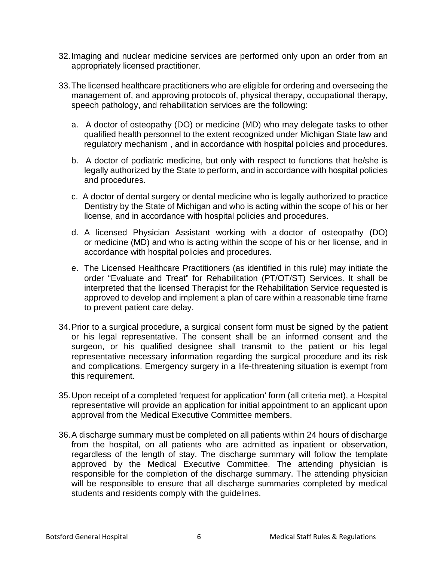- 32.Imaging and nuclear medicine services are performed only upon an order from an appropriately licensed practitioner.
- 33.The licensed healthcare practitioners who are eligible for ordering and overseeing the management of, and approving protocols of, physical therapy, occupational therapy, speech pathology, and rehabilitation services are the following:
	- a.A doctor of osteopathy (DO) or medicine (MD) who may delegate tasks to other qualified health personnel to the extent recognized under Michigan State law and regulatory mechanism , and in accordance with hospital policies and procedures.
	- b.A doctor of podiatric medicine, but only with respect to functions that he/she is legally authorized by the State to perform, and in accordance with hospital policies and procedures.
	- c. A doctor of dental surgery or dental medicine who is legally authorized to practice Dentistry by the State of Michigan and who is acting within the scope of his or her license, and in accordance with hospital policies and procedures.
	- d. A licensed Physician Assistant working with a doctor of osteopathy (DO) or medicine (MD) and who is acting within the scope of his or her license, and in accordance with hospital policies and procedures.
	- e. The Licensed Healthcare Practitioners (as identified in this rule) may initiate the order "Evaluate and Treat" for Rehabilitation (PT/OT/ST) Services. It shall be interpreted that the licensed Therapist for the Rehabilitation Service requested is approved to develop and implement a plan of care within a reasonable time frame to prevent patient care delay.
- 34.Prior to a surgical procedure, a surgical consent form must be signed by the patient or his legal representative. The consent shall be an informed consent and the surgeon, or his qualified designee shall transmit to the patient or his legal representative necessary information regarding the surgical procedure and its risk and complications. Emergency surgery in a life-threatening situation is exempt from this requirement.
- 35.Upon receipt of a completed 'request for application' form (all criteria met), a Hospital representative will provide an application for initial appointment to an applicant upon approval from the Medical Executive Committee members.
- 36.A discharge summary must be completed on all patients within 24 hours of discharge from the hospital, on all patients who are admitted as inpatient or observation, regardless of the length of stay. The discharge summary will follow the template approved by the Medical Executive Committee. The attending physician is responsible for the completion of the discharge summary. The attending physician will be responsible to ensure that all discharge summaries completed by medical students and residents comply with the guidelines.